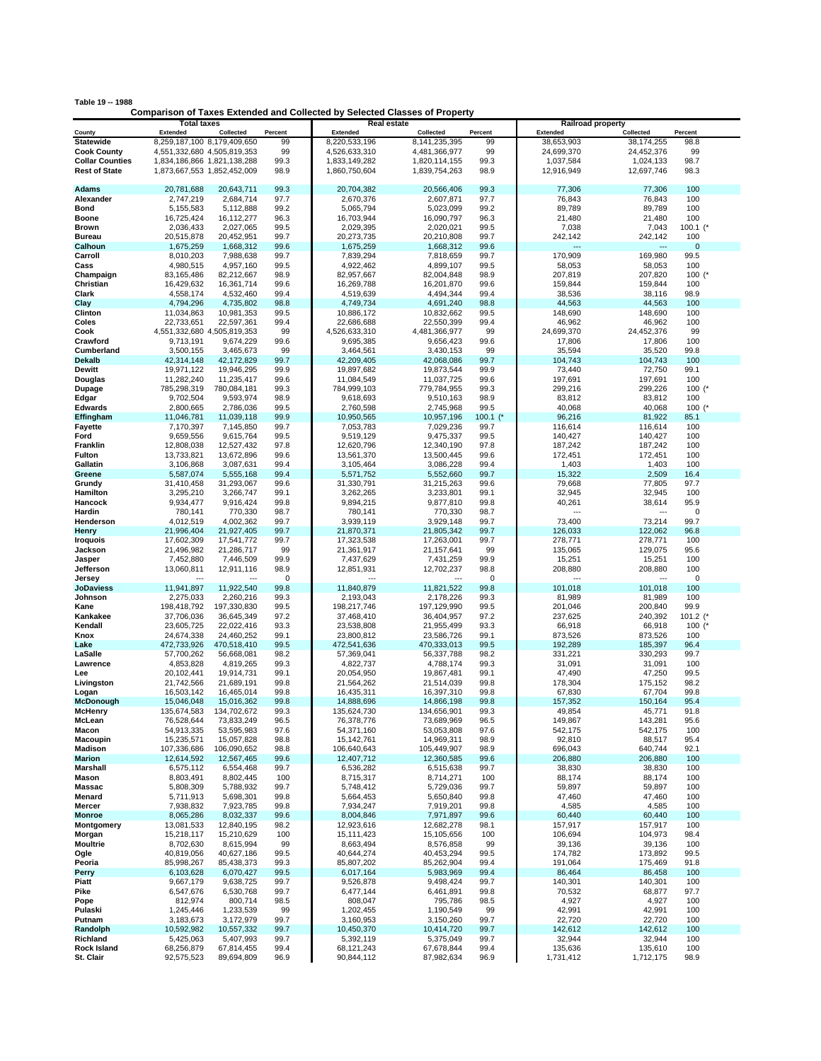| Table 19 -- 1988                                                                  |             |                          |  |  |  |  |  |  |
|-----------------------------------------------------------------------------------|-------------|--------------------------|--|--|--|--|--|--|
| <b>Comparison of Taxes Extended and Collected by Selected Classes of Property</b> |             |                          |  |  |  |  |  |  |
| Total taxes                                                                       | Real estate | <b>Railroad property</b> |  |  |  |  |  |  |

|                           | <b>Total taxes</b>          |                          |              | <b>Real estate</b>       |                          |              | <b>Railroad property</b> |                          |                     |
|---------------------------|-----------------------------|--------------------------|--------------|--------------------------|--------------------------|--------------|--------------------------|--------------------------|---------------------|
| County                    | <b>Extended</b>             | Collected                | Percent      | <b>Extended</b>          | Collected                | Percent      | <b>Extended</b>          | Collected                | Percent             |
| <b>Statewide</b>          | 8,259,187,100 8,179,409,650 |                          | 99           | 8,220,533,196            | 8, 141, 235, 395         | 99           | 38,653,903               | 38,174,255               | 98.8                |
| <b>Cook County</b>        | 4,551,332,680 4,505,819,353 |                          | 99           | 4,526,633,310            | 4,481,366,977            | 99           | 24,699,370               | 24,452,376               | 99                  |
| <b>Collar Counties</b>    | 1,834,186,866 1,821,138,288 |                          | 99.3         | 1,833,149,282            | 1,820,114,155            | 99.3         | 1,037,584                | 1,024,133                | 98.7                |
| <b>Rest of State</b>      | 1,873,667,553 1,852,452,009 |                          | 98.9         | 1,860,750,604            | 1,839,754,263            | 98.9         | 12,916,949               | 12,697,746               | 98.3                |
|                           |                             |                          |              |                          |                          |              |                          |                          |                     |
| <b>Adams</b>              | 20,781,688                  | 20,643,711               | 99.3         | 20,704,382               | 20,566,406               | 99.3         | 77,306                   | 77,306                   | 100                 |
| Alexander                 | 2,747,219                   | 2,684,714                | 97.7         | 2,670,376                | 2,607,871                | 97.7         | 76,843                   | 76,843                   | 100                 |
| Bond                      | 5,155,583                   | 5,112,888                | 99.2         | 5,065,794                | 5,023,099                | 99.2         | 89,789                   | 89,789                   | 100                 |
| <b>Boone</b>              | 16,725,424                  | 16,112,277               | 96.3         | 16,703,944               | 16,090,797               | 96.3         | 21,480                   | 21,480                   | 100                 |
| <b>Brown</b>              | 2,036,433                   | 2,027,065                | 99.5         | 2,029,395                | 2,020,021                | 99.5         | 7,038                    | 7,043                    | $100.1$ (*          |
| <b>Bureau</b>             | 20,515,878                  | 20,452,951               | 99.7         | 20,273,735               | 20,210,808               | 99.7         | 242,142                  | 242,142                  | 100                 |
| Calhoun                   | 1,675,259                   | 1,668,312                | 99.6         | 1,675,259                | 1,668,312<br>7,818,659   | 99.6         | ---                      |                          | $\mathbf 0$<br>99.5 |
| Carroll<br>Cass           | 8,010,203<br>4,980,515      | 7,988,638<br>4,957,160   | 99.7<br>99.5 | 7,839,294<br>4,922,462   | 4,899,107                | 99.7<br>99.5 | 170,909<br>58,053        | 169,980<br>58,053        | 100                 |
| Champaign                 | 83,165,486                  | 82,212,667               | 98.9         | 82,957,667               | 82,004,848               | 98.9         | 207,819                  | 207,820                  | 100 $(*$            |
| Christian                 | 16,429,632                  | 16,361,714               | 99.6         | 16,269,788               | 16,201,870               | 99.6         | 159,844                  | 159,844                  | 100                 |
| Clark                     | 4,558,174                   | 4,532,460                | 99.4         | 4,519,639                | 4,494,344                | 99.4         | 38,536                   | 38,116                   | 98.9                |
| Clay                      | 4,794,296                   | 4,735,802                | 98.8         | 4,749,734                | 4,691,240                | 98.8         | 44,563                   | 44,563                   | 100                 |
| Clinton                   | 11,034,863                  | 10,981,353               | 99.5         | 10,886,172               | 10,832,662               | 99.5         | 148,690                  | 148,690                  | 100                 |
| Coles                     | 22,733,651                  | 22,597,361               | 99.4         | 22,686,688               | 22,550,399               | 99.4         | 46,962                   | 46,962                   | 100                 |
| Cook                      | 4,551,332,680 4,505,819,353 |                          | 99           | 4,526,633,310            | 4,481,366,977            | 99           | 24,699,370               | 24,452,376               | 99                  |
| Crawford                  | 9,713,191                   | 9,674,229                | 99.6         | 9,695,385                | 9,656,423                | 99.6         | 17,806                   | 17,806                   | 100                 |
| Cumberland                | 3,500,155                   | 3,465,673                | 99           | 3,464,561                | 3,430,153                | 99           | 35,594                   | 35,520                   | 99.8                |
| <b>Dekalb</b>             | 42,314,148                  | 42,172,829               | 99.7         | 42,209,405               | 42,068,086               | 99.7         | 104,743                  | 104,743                  | 100                 |
| Dewitt                    | 19,971,122                  | 19,946,295               | 99.9         | 19,897,682               | 19,873,544               | 99.9         | 73,440                   | 72,750                   | 99.1                |
| Douglas                   | 11,282,240                  | 11,235,417               | 99.6         | 11,084,549               | 11,037,725               | 99.6         | 197,691                  | 197,691                  | 100                 |
| Dupage                    | 785,298,319                 | 780,084,181              | 99.3         | 784,999,103              | 779,784,955              | 99.3         | 299,216                  | 299,226                  | $100$ (*            |
| Edgar                     | 9,702,504                   | 9,593,974                | 98.9         | 9,618,693                | 9,510,163                | 98.9         | 83,812                   | 83,812                   | 100                 |
| <b>Edwards</b>            | 2,800,665                   | 2,786,036                | 99.5         | 2,760,598                | 2,745,968                | 99.5         | 40,068                   | 40,068                   | $100$ $($           |
| Effingham                 | 11,046,781                  | 11,039,118               | 99.9         | 10,950,565               | 10,957,196               | 100.1 $($    | 96,216                   | 81,922                   | 85.1                |
| <b>Fayette</b>            | 7,170,397                   | 7,145,850                | 99.7         | 7,053,783                | 7,029,236                | 99.7         | 116,614                  | 116,614                  | 100                 |
| Ford                      | 9,659,556                   | 9,615,764                | 99.5         | 9,519,129                | 9,475,337                | 99.5         | 140,427                  | 140,427                  | 100                 |
| Franklin                  | 12,808,038                  | 12,527,432               | 97.8         | 12,620,796               | 12,340,190               | 97.8         | 187,242                  | 187,242                  | 100                 |
| Fulton                    | 13,733,821                  | 13,672,896               | 99.6         | 13,561,370               | 13,500,445               | 99.6         | 172,451                  | 172,451                  | 100                 |
| Gallatin                  | 3,106,868                   | 3,087,631                | 99.4<br>99.4 | 3,105,464                | 3,086,228                | 99.4         | 1,403<br>15,322          | 1,403<br>2,509           | 100<br>16.4         |
| Greene<br>Grundy          | 5,587,074<br>31,410,458     | 5,555,168<br>31,293,067  | 99.6         | 5,571,752<br>31,330,791  | 5,552,660<br>31,215,263  | 99.7<br>99.6 | 79,668                   | 77,805                   | 97.7                |
| Hamilton                  | 3,295,210                   | 3,266,747                | 99.1         | 3,262,265                | 3,233,801                | 99.1         | 32,945                   | 32,945                   | 100                 |
| Hancock                   | 9,934,477                   | 9,916,424                | 99.8         | 9,894,215                | 9,877,810                | 99.8         | 40,261                   | 38,614                   | 95.9                |
| Hardin                    | 780,141                     | 770,330                  | 98.7         | 780,141                  | 770,330                  | 98.7         |                          | ---                      | $\mathbf 0$         |
| Henderson                 | 4,012,519                   | 4,002,362                | 99.7         | 3,939,119                | 3,929,148                | 99.7         | 73,400                   | 73,214                   | 99.7                |
| Henry                     | 21,996,404                  | 21,927,405               | 99.7         | 21,870,371               | 21,805,342               | 99.7         | 126,033                  | 122,062                  | 96.8                |
| <b>Iroquois</b>           | 17,602,309                  | 17,541,772               | 99.7         | 17,323,538               | 17,263,001               | 99.7         | 278,771                  | 278,771                  | 100                 |
| Jackson                   | 21,496,982                  | 21,286,717               | 99           | 21,361,917               | 21, 157, 641             | 99           | 135,065                  | 129,075                  | 95.6                |
| Jasper                    | 7,452,880                   | 7,446,509                | 99.9         | 7,437,629                | 7,431,259                | 99.9         | 15,251                   | 15,251                   | 100                 |
| Jefferson                 | 13,060,811                  | 12,911,116               | 98.9         | 12,851,931               | 12,702,237               | 98.8         | 208,880                  | 208,880                  | 100                 |
| Jersey                    | ---                         | ---                      | 0            |                          |                          | $^{\circ}$   | $\sim$                   | $\overline{\phantom{a}}$ | $\mathbf 0$         |
| <b>JoDaviess</b>          | 11,941,897                  | 11,922,540               | 99.8         | 11,840,879               | 11,821,522               | 99.8         | 101,018                  | 101,018                  | 100                 |
| Johnson                   | 2,275,033                   | 2,260,216                | 99.3         | 2,193,043                | 2,178,226                | 99.3         | 81,989                   | 81,989                   | 100                 |
| Kane                      | 198,418,792                 | 197,330,830              | 99.5         | 198,217,746              | 197,129,990              | 99.5         | 201,046                  | 200,840                  | 99.9                |
| Kankakee                  | 37,706,036                  | 36,645,349               | 97.2         | 37,468,410               | 36,404,957               | 97.2         | 237,625                  | 240,392                  | 101.2               |
| Kendall                   | 23,605,725                  | 22,022,416               | 93.3         | 23,538,808               | 21,955,499               | 93.3         | 66,918                   | 66,918                   | $100$ $($           |
| Knox                      | 24,674,338                  | 24,460,252               | 99.1         | 23,800,812               | 23,586,726               | 99.1         | 873,526                  | 873,526                  | 100                 |
| Lake                      | 472,733,926                 | 470,518,410              | 99.5         | 472,541,636              | 470,333,013              | 99.5         | 192,289                  | 185,397                  | 96.4                |
| LaSalle                   | 57,700,262                  | 56,668,081               | 98.2         | 57,369,041               | 56,337,788               | 98.2         | 331,221                  | 330,293                  | 99.7                |
| Lawrence                  | 4,853,828                   | 4,819,265<br>19.914.731  | 99.3         | 4,822,737                | 4,788,174                | 99.3         | 31,091                   | 31,091                   | 100                 |
| Lee                       | 20,102,441<br>21,742,566    |                          | 99.1<br>99.8 | 20,054,950               | 19,867,481<br>21,514,039 | 99.1         | 47,490<br>178,304        | 47,250                   | 99.5<br>98.2        |
| Livingston                | 16,503,142                  | 21,689,191<br>16,465,014 | 99.8         | 21,564,262<br>16,435,311 | 16,397,310               | 99.8<br>99.8 | 67,830                   | 175,152<br>67,704        | 99.8                |
| Logan<br><b>McDonough</b> | 15,046,048                  | 15,016,362               | 99.8         | 14,888,696               | 14,866,198               | 99.8         | 157,352                  | 150.164                  | 95.4                |
| <b>McHenry</b>            | 135,674,583                 | 134,702,672              | 99.3         | 135,624,730              | 134,656,901              | 99.3         | 49,854                   | 45,771                   | 91.8                |
| McLean                    | 76,528,644                  | 73,833,249               | 96.5         | 76,378,776               | 73,689,969               | 96.5         | 149,867                  | 143,281                  | 95.6                |
| Macon                     | 54,913,335                  | 53,595,983               | 97.6         | 54,371,160               | 53,053,808               | 97.6         | 542,175                  | 542,175                  | 100                 |
| Macoupin                  | 15,235,571                  | 15,057,828               | 98.8         | 15,142,761               | 14,969,311               | 98.9         | 92,810                   | 88,517                   | 95.4                |
| <b>Madison</b>            | 107,336,686                 | 106,090,652              | 98.8         | 106,640,643              | 105,449,907              | 98.9         | 696,043                  | 640,744                  | 92.1                |
| <b>Marion</b>             | 12,614,592                  | 12,567,465               | 99.6         | 12,407,712               | 12,360,585               | 99.6         | 206,880                  | 206,880                  | 100                 |
| Marshall                  | 6,575,112                   | 6,554,468                | 99.7         | 6,536,282                | 6,515,638                | 99.7         | 38,830                   | 38,830                   | 100                 |
| <b>Mason</b>              | 8,803,491                   | 8,802,445                | 100          | 8,715,317                | 8,714,271                | 100          | 88,174                   | 88,174                   | 100                 |
| <b>Massac</b>             | 5,808,309                   | 5,788,932                | 99.7         | 5,748,412                | 5,729,036                | 99.7         | 59,897                   | 59,897                   | 100                 |
| Menard                    | 5,711,913                   | 5,698,301                | 99.8         | 5,664,453                | 5,650,840                | 99.8         | 47,460                   | 47,460                   | 100                 |
| Mercer                    | 7,938,832                   | 7,923,785                | 99.8         | 7,934,247                | 7,919,201                | 99.8         | 4,585                    | 4,585                    | 100                 |
| <b>Monroe</b>             | 8,065,286                   | 8,032,337                | 99.6         | 8,004,846                | 7,971,897                | 99.6         | 60,440                   | 60,440                   | 100                 |
| Montgomery                | 13,081,533                  | 12,840,195               | 98.2         | 12,923,616               | 12,682,278               | 98.1         | 157,917                  | 157,917                  | 100                 |
| Morgan                    | 15,218,117                  | 15,210,629               | 100          | 15,111,423               | 15,105,656               | 100          | 106,694                  | 104,973                  | 98.4                |
| Moultrie                  | 8,702,630                   | 8,615,994                | 99           | 8,663,494                | 8,576,858                | 99           | 39,136                   | 39,136                   | 100                 |
| Ogle                      | 40,819,056                  | 40,627,186               | 99.5         | 40,644,274               | 40,453,294               | 99.5         | 174,782                  | 173,892                  | 99.5                |
| Peoria                    | 85,998,267<br>6,103,628     | 85,438,373               | 99.3         | 85,807,202               | 85,262,904               | 99.4         | 191,064                  | 175,469                  | 91.8                |
| Perry<br>Piatt            | 9,667,179                   | 6,070,427<br>9,638,725   | 99.5<br>99.7 | 6,017,164<br>9,526,878   | 5,983,969<br>9,498,424   | 99.4<br>99.7 | 86,464<br>140,301        | 86,458<br>140,301        | 100<br>100          |
| Pike                      | 6,547,676                   | 6,530,768                | 99.7         | 6,477,144                | 6,461,891                | 99.8         | 70,532                   | 68,877                   | 97.7                |
| Pope                      | 812,974                     | 800,714                  | 98.5         | 808,047                  | 795,786                  | 98.5         | 4,927                    | 4,927                    | 100                 |
| Pulaski                   | 1,245,446                   | 1,233,539                | 99           | 1,202,455                | 1,190,549                | 99           | 42,991                   | 42,991                   | 100                 |
| Putnam                    | 3,183,673                   | 3,172,979                | 99.7         | 3,160,953                | 3,150,260                | 99.7         | 22,720                   | 22,720                   | 100                 |
| Randolph                  | 10,592,982                  | 10,557,332               | 99.7         | 10,450,370               | 10,414,720               | 99.7         | 142,612                  | 142,612                  | 100                 |
| Richland                  | 5,425,063                   | 5,407,993                | 99.7         | 5,392,119                | 5,375,049                | 99.7         | 32,944                   | 32,944                   | 100                 |
| <b>Rock Island</b>        | 68,256,879                  | 67,814,455               | 99.4         | 68,121,243               | 67,678,844               | 99.4         | 135,636                  | 135,610                  | 100                 |
| St. Clair                 | 92,575,523                  | 89,694,809               | 96.9         | 90,844,112               | 87,982,634               | 96.9         | 1,731,412                | 1,712,175                | 98.9                |